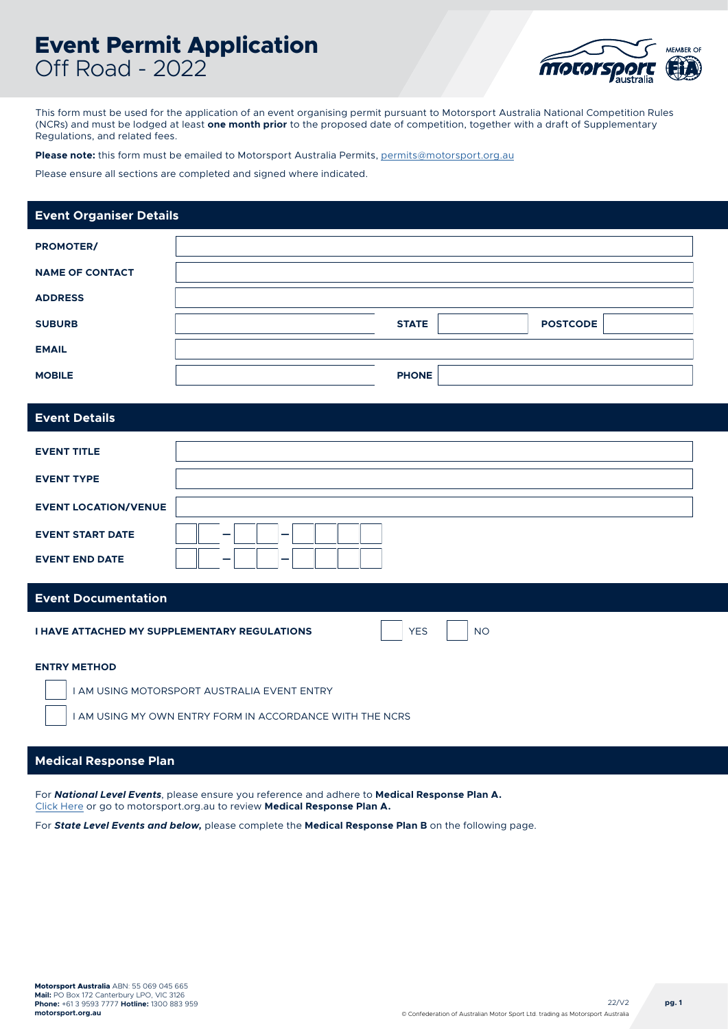# **Event Permit Application** Off Road - 2022



This form must be used for the application of an event organising permit pursuant to Motorsport Australia National Competition Rules (NCRs) and must be lodged at least **one month prior** to the proposed date of competition, together with a draft of Supplementary Regulations, and related fees.

**Please note:** this form must be emailed to Motorsport Australia Permits, [permits@motorsport.org.au](mailto:permits%40motorsport.org.au?subject=)

Please ensure all sections are completed and signed where indicated.

### **Event Organiser Details**

| <b>PROMOTER/</b>       |              |                 |
|------------------------|--------------|-----------------|
| <b>NAME OF CONTACT</b> |              |                 |
| <b>ADDRESS</b>         |              |                 |
| <b>SUBURB</b>          | <b>STATE</b> | <b>POSTCODE</b> |
| <b>EMAIL</b>           |              |                 |
| <b>MOBILE</b>          | <b>PHONE</b> |                 |

### **Event Details**

| <b>EVENT TITLE</b>          |        |
|-----------------------------|--------|
| <b>EVENT TYPE</b>           |        |
| <b>EVENT LOCATION/VENUE</b> |        |
| <b>EVENT START DATE</b>     | -<br>_ |
| <b>EVENT END DATE</b>       | _<br>_ |

#### **Event Documentation**

**I HAVE ATTACHED MY SUPPLEMENTARY REGULATIONS**

YES

NO

**ENTRY METHOD**

I AM USING MOTORSPORT AUSTRALIA EVENT ENTRY

I AM USING MY OWN ENTRY FORM IN ACCORDANCE WITH THE NCRS

### **Medical Response Plan**

For *National Level Events*, please ensure you reference and adhere to **Medical Response Plan A.** [Click Here](https://motorsport.org.au/docs/default-source/medical/pro-forma-medical-response-plan-a.pdf?sfvrsn=8a49f01e_9) or go to motorsport.org.au to review **Medical Response Plan A.**

For *State Level Events and below,* please complete the **Medical Response Plan B** on the following page.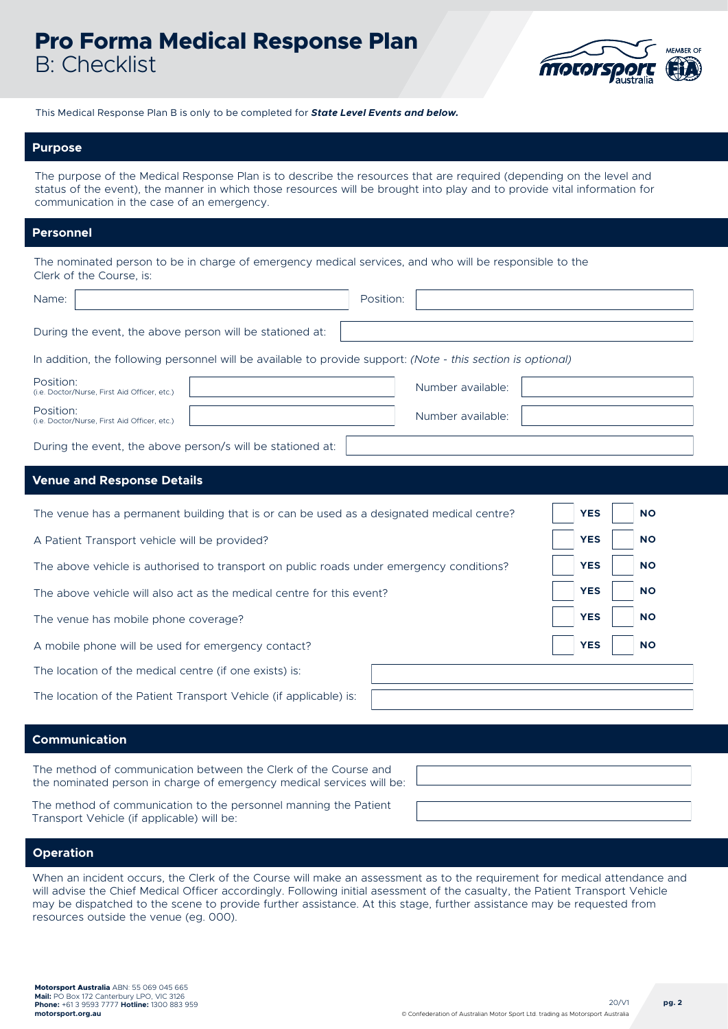## **Pro Forma Medical Response Plan**  B: Checklist



This Medical Response Plan B is only to be completed for *State Level Events and below.*

#### **Purpose**

The purpose of the Medical Response Plan is to describe the resources that are required (depending on the level and status of the event), the manner in which those resources will be brought into play and to provide vital information for communication in the case of an emergency.

### **Personnel**

| The nominated person to be in charge of emergency medical services, and who will be responsible to the |  |
|--------------------------------------------------------------------------------------------------------|--|
| Clerk of the Course, is:                                                                               |  |

| Name:                                                                                                        | Position:         |                         |
|--------------------------------------------------------------------------------------------------------------|-------------------|-------------------------|
| During the event, the above person will be stationed at:                                                     |                   |                         |
| In addition, the following personnel will be available to provide support: (Note - this section is optional) |                   |                         |
| Position:<br>(i.e. Doctor/Nurse, First Aid Officer, etc.)                                                    | Number available: |                         |
| Position:<br>(i.e. Doctor/Nurse, First Aid Officer, etc.)                                                    | Number available: |                         |
| During the event, the above person/s will be stationed at:                                                   |                   |                         |
| <b>Venue and Response Details</b>                                                                            |                   |                         |
| The venue has a permanent building that is or can be used as a designated medical centre?                    |                   | <b>YES</b><br><b>NO</b> |
| A Patient Transport vehicle will be provided?                                                                |                   | <b>YES</b><br><b>NO</b> |
| The above vehicle is authorised to transport on public roads under emergency conditions?                     |                   | <b>YES</b><br><b>NO</b> |
| The above vehicle will also act as the medical centre for this event?                                        |                   | <b>YES</b><br><b>NO</b> |
| The venue has mobile phone coverage?                                                                         |                   | <b>YES</b><br><b>NO</b> |
| A mobile phone will be used for emergency contact?                                                           |                   | <b>YES</b><br><b>NO</b> |
| The location of the medical centre (if one exists) is:                                                       |                   |                         |

The location of the Patient Transport Vehicle (if applicable) is:

#### **Communication**

The method of communication between the Clerk of the Course and the nominated person in charge of emergency medical services will be:

The method of communication to the personnel manning the Patient Transport Vehicle (if applicable) will be:

### **Operation**

When an incident occurs, the Clerk of the Course will make an assessment as to the requirement for medical attendance and will advise the Chief Medical Officer accordingly. Following initial asessment of the casualty, the Patient Transport Vehicle may be dispatched to the scene to provide further assistance. At this stage, further assistance may be requested from resources outside the venue (eg. 000).

**Motorsport Australia** ABN: 55 069 045 665 **Mail:** PO Box 172 Canterbury LPO, VIC 3126 **Phone:** +61 3 9593 7777 **Hotline:** 1300 883 959 **motorsport.org.au**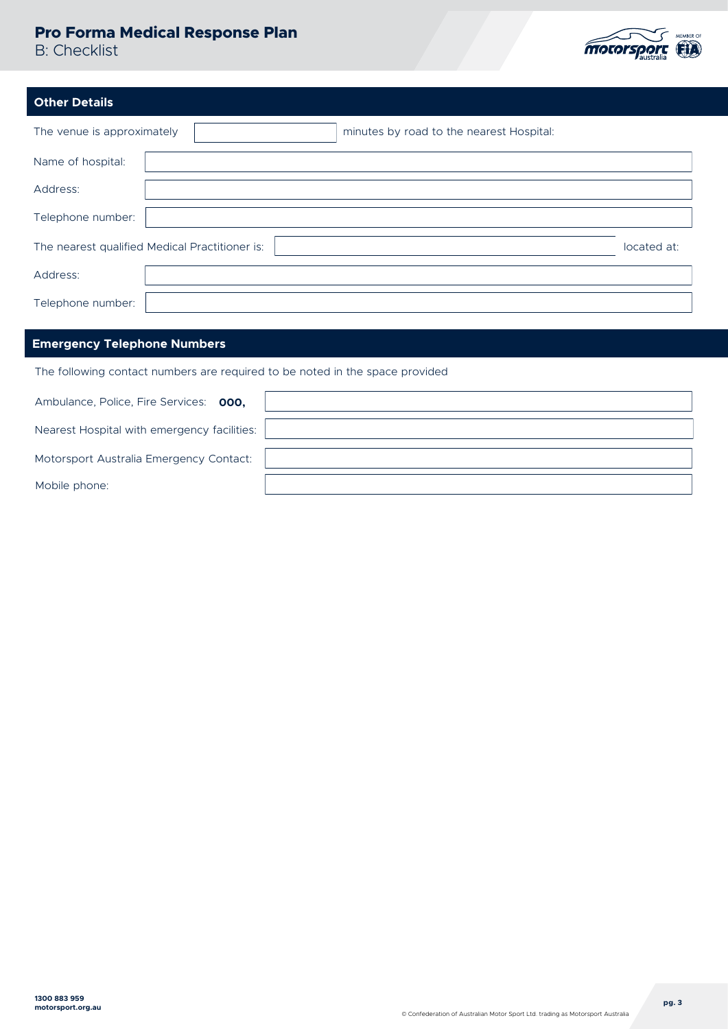### **Pro Forma Medical Response Plan**

B: Checklist



| <b>Other Details</b>       |                                                               |
|----------------------------|---------------------------------------------------------------|
| The venue is approximately | minutes by road to the nearest Hospital:                      |
| Name of hospital:          |                                                               |
| Address:                   |                                                               |
| Telephone number:          |                                                               |
|                            | The nearest qualified Medical Practitioner is:<br>located at: |
| Address:                   |                                                               |
| Telephone number:          |                                                               |

### **Emergency Telephone Numbers**

The following contact numbers are required to be noted in the space provided

| Ambulance, Police, Fire Services: 000,      |  |
|---------------------------------------------|--|
| Nearest Hospital with emergency facilities: |  |
| Motorsport Australia Emergency Contact:     |  |
| Mobile phone:                               |  |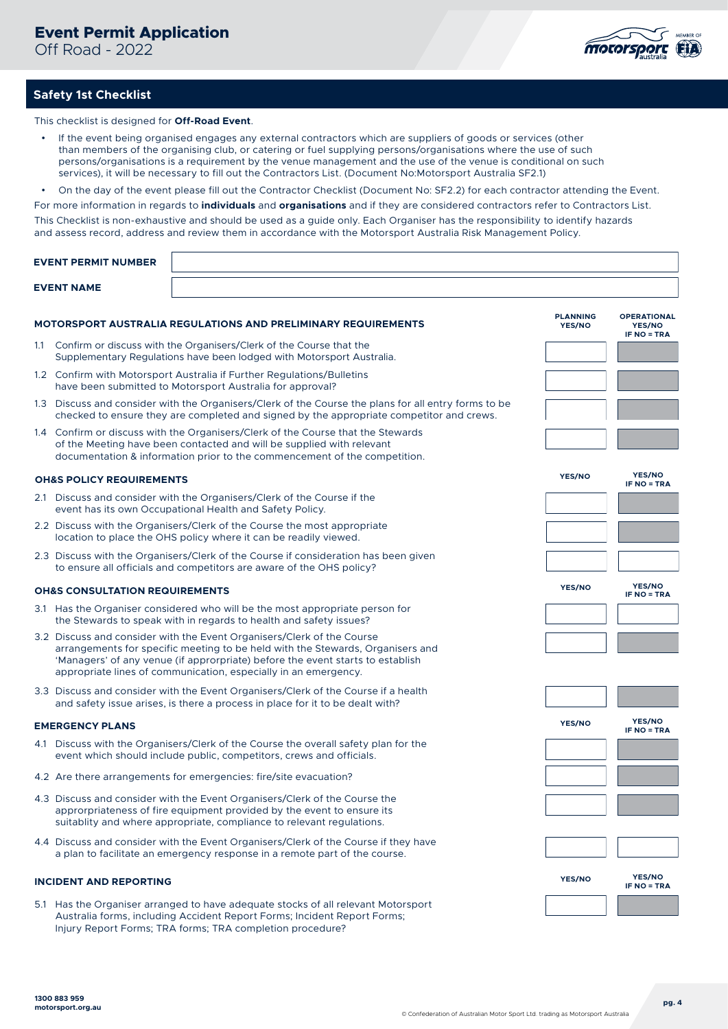Off Road - 2022



### **Safety 1st Checklist**

This checklist is designed for **Off-Road Event**.

- If the event being organised engages any external contractors which are suppliers of goods or services (other than members of the organising club, or catering or fuel supplying persons/organisations where the use of such persons/organisations is a requirement by the venue management and the use of the venue is conditional on such services), it will be necessary to fill out the Contractors List. (Document No:Motorsport Australia SF2.1)
- On the day of the event please fill out the Contractor Checklist (Document No: SF2.2) for each contractor attending the Event.

For more information in regards to **individuals** and **organisations** and if they are considered contractors refer to Contractors List.

This Checklist is non-exhaustive and should be used as a guide only. Each Organiser has the responsibility to identify hazards and assess record, address and review them in accordance with the Motorsport Australia Risk Management Policy.

|     | <b>EVENT PERMIT NUMBER</b>                |                                                                                                                                                                                                                                                                                                               |                                  |                                                           |
|-----|-------------------------------------------|---------------------------------------------------------------------------------------------------------------------------------------------------------------------------------------------------------------------------------------------------------------------------------------------------------------|----------------------------------|-----------------------------------------------------------|
|     | <b>EVENT NAME</b>                         |                                                                                                                                                                                                                                                                                                               |                                  |                                                           |
|     |                                           | <b>MOTORSPORT AUSTRALIA REGULATIONS AND PRELIMINARY REQUIREMENTS</b>                                                                                                                                                                                                                                          | <b>PLANNING</b><br><b>YES/NO</b> | <b>OPERATIONAL</b><br><b>YES/NO</b><br><b>IF NO = TRA</b> |
| 1.1 |                                           | Confirm or discuss with the Organisers/Clerk of the Course that the<br>Supplementary Regulations have been lodged with Motorsport Australia.                                                                                                                                                                  |                                  |                                                           |
|     |                                           | 1.2 Confirm with Motorsport Australia if Further Regulations/Bulletins<br>have been submitted to Motorsport Australia for approval?                                                                                                                                                                           |                                  |                                                           |
|     |                                           | 1.3 Discuss and consider with the Organisers/Clerk of the Course the plans for all entry forms to be<br>checked to ensure they are completed and signed by the appropriate competitor and crews.                                                                                                              |                                  |                                                           |
|     |                                           | 1.4 Confirm or discuss with the Organisers/Clerk of the Course that the Stewards<br>of the Meeting have been contacted and will be supplied with relevant<br>documentation & information prior to the commencement of the competition.                                                                        |                                  |                                                           |
|     | <b>OH&amp;S POLICY REQUIREMENTS</b>       |                                                                                                                                                                                                                                                                                                               | <b>YES/NO</b>                    | <b>YES/NO</b><br><b>IF NO = TRA</b>                       |
|     |                                           | 2.1 Discuss and consider with the Organisers/Clerk of the Course if the<br>event has its own Occupational Health and Safety Policy.                                                                                                                                                                           |                                  |                                                           |
|     |                                           | 2.2 Discuss with the Organisers/Clerk of the Course the most appropriate<br>location to place the OHS policy where it can be readily viewed.                                                                                                                                                                  |                                  |                                                           |
|     |                                           | 2.3 Discuss with the Organisers/Clerk of the Course if consideration has been given<br>to ensure all officials and competitors are aware of the OHS policy?                                                                                                                                                   |                                  |                                                           |
|     | <b>OH&amp;S CONSULTATION REQUIREMENTS</b> |                                                                                                                                                                                                                                                                                                               | YES/NO                           | <b>YES/NO</b><br><b>IF NO = TRA</b>                       |
|     |                                           | 3.1 Has the Organiser considered who will be the most appropriate person for<br>the Stewards to speak with in regards to health and safety issues?                                                                                                                                                            |                                  |                                                           |
|     |                                           | 3.2 Discuss and consider with the Event Organisers/Clerk of the Course<br>arrangements for specific meeting to be held with the Stewards, Organisers and<br>'Managers' of any venue (if approrpriate) before the event starts to establish<br>appropriate lines of communication, especially in an emergency. |                                  |                                                           |
|     |                                           | 3.3 Discuss and consider with the Event Organisers/Clerk of the Course if a health<br>and safety issue arises, is there a process in place for it to be dealt with?                                                                                                                                           |                                  |                                                           |
|     | <b>EMERGENCY PLANS</b>                    |                                                                                                                                                                                                                                                                                                               | <b>YES/NO</b>                    | <b>YES/NO</b><br>IF NO = TRA                              |
|     |                                           | 4.1 Discuss with the Organisers/Clerk of the Course the overall safety plan for the<br>event which should include public, competitors, crews and officials.                                                                                                                                                   |                                  |                                                           |
|     |                                           | 4.2 Are there arrangements for emergencies: fire/site evacuation?                                                                                                                                                                                                                                             |                                  |                                                           |
|     |                                           | 4.3 Discuss and consider with the Event Organisers/Clerk of the Course the<br>approrpriateness of fire equipment provided by the event to ensure its<br>suitablity and where appropriate, compliance to relevant regulations.                                                                                 |                                  |                                                           |
|     |                                           | 4.4 Discuss and consider with the Event Organisers/Clerk of the Course if they have<br>a plan to facilitate an emergency response in a remote part of the course.                                                                                                                                             |                                  |                                                           |
|     | <b>INCIDENT AND REPORTING</b>             |                                                                                                                                                                                                                                                                                                               | YES/NO                           | YES/NO<br><b>IF NO = TRA</b>                              |
|     |                                           | 5.1 Has the Organiser arranged to have adequate stocks of all relevant Motorsport<br>Australia forms, including Accident Report Forms; Incident Report Forms;<br>Injury Report Forms; TRA forms; TRA completion procedure?                                                                                    |                                  |                                                           |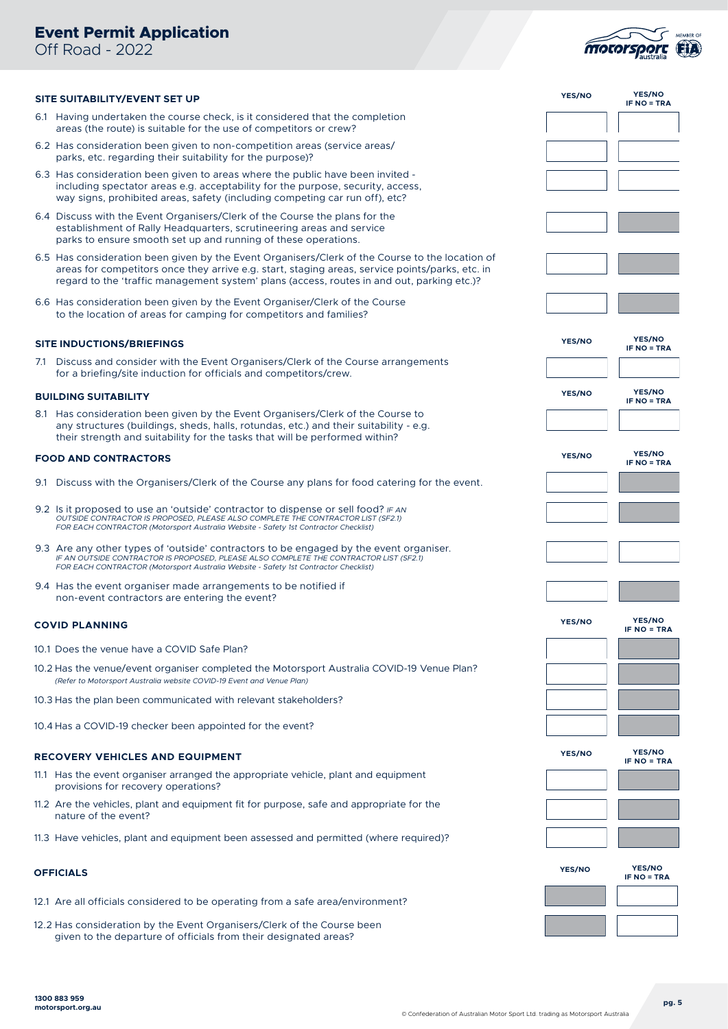### **Event Permit Application**

Off Road - 2022



| SITE SUITABILITY/EVENT SET UP                                                                                                                                                                                                                                                                    | YES/NO        | <b>YES/NO</b><br><b>IF NO = TRA</b> |
|--------------------------------------------------------------------------------------------------------------------------------------------------------------------------------------------------------------------------------------------------------------------------------------------------|---------------|-------------------------------------|
| 6.1 Having undertaken the course check, is it considered that the completion<br>areas (the route) is suitable for the use of competitors or crew?                                                                                                                                                |               |                                     |
| 6.2 Has consideration been given to non-competition areas (service areas/<br>parks, etc. regarding their suitability for the purpose)?                                                                                                                                                           |               |                                     |
| 6.3 Has consideration been given to areas where the public have been invited -<br>including spectator areas e.g. acceptability for the purpose, security, access,<br>way signs, prohibited areas, safety (including competing car run off), etc?                                                 |               |                                     |
| 6.4 Discuss with the Event Organisers/Clerk of the Course the plans for the<br>establishment of Rally Headquarters, scrutineering areas and service<br>parks to ensure smooth set up and running of these operations.                                                                            |               |                                     |
| 6.5 Has consideration been given by the Event Organisers/Clerk of the Course to the location of<br>areas for competitors once they arrive e.g. start, staging areas, service points/parks, etc. in<br>regard to the 'traffic management system' plans (access, routes in and out, parking etc.)? |               |                                     |
| 6.6 Has consideration been given by the Event Organiser/Clerk of the Course<br>to the location of areas for camping for competitors and families?                                                                                                                                                |               |                                     |
| <b>SITE INDUCTIONS/BRIEFINGS</b>                                                                                                                                                                                                                                                                 | <b>YES/NO</b> | <b>YES/NO</b><br><b>IF NO = TRA</b> |
| 7.1 Discuss and consider with the Event Organisers/Clerk of the Course arrangements<br>for a briefing/site induction for officials and competitors/crew.                                                                                                                                         |               |                                     |
| <b>BUILDING SUITABILITY</b>                                                                                                                                                                                                                                                                      | <b>YES/NO</b> | <b>YES/NO</b><br><b>IF NO = TRA</b> |
| 8.1 Has consideration been given by the Event Organisers/Clerk of the Course to<br>any structures (buildings, sheds, halls, rotundas, etc.) and their suitability - e.g.<br>their strength and suitability for the tasks that will be performed within?                                          |               |                                     |
| <b>FOOD AND CONTRACTORS</b>                                                                                                                                                                                                                                                                      | <b>YES/NO</b> | <b>YES/NO</b><br><b>IF NO = TRA</b> |
| 9.1 Discuss with the Organisers/Clerk of the Course any plans for food catering for the event.                                                                                                                                                                                                   |               |                                     |
| 9.2 Is it proposed to use an 'outside' contractor to dispense or sell food? $IFAN$<br>OUTSIDE CONTRACTOR IS PROPOSED, PLEASE ALSO COMPLETE THE CONTRACTOR LIST (SF2.1)<br>FOR EACH CONTRACTOR (Motorsport Australia Website - Safety 1st Contractor Checklist)                                   |               |                                     |
| 9.3 Are any other types of 'outside' contractors to be engaged by the event organiser.<br>IF AN OUTSIDE CONTRACTOR IS PROPOSED, PLEASE ALSO COMPLETE THE CONTRACTOR LIST (SF2.1)<br>FOR EACH CONTRACTOR (Motorsport Australia Website - Safety 1st Contractor Checklist)                         |               |                                     |
| 9.4 Has the event organiser made arrangements to be notified if<br>non-event contractors are entering the event?                                                                                                                                                                                 |               |                                     |
| <b>COVID PLANNING</b>                                                                                                                                                                                                                                                                            | YES/NO        | <b>YES/NO</b><br>IF NO = TRA        |
| 10.1 Does the venue have a COVID Safe Plan?                                                                                                                                                                                                                                                      |               |                                     |
| 10.2 Has the venue/event organiser completed the Motorsport Australia COVID-19 Venue Plan?<br>(Refer to Motorsport Australia website COVID-19 Event and Venue Plan)                                                                                                                              |               |                                     |
| 10.3 Has the plan been communicated with relevant stakeholders?                                                                                                                                                                                                                                  |               |                                     |
| 10.4 Has a COVID-19 checker been appointed for the event?                                                                                                                                                                                                                                        |               |                                     |
| <b>RECOVERY VEHICLES AND EQUIPMENT</b>                                                                                                                                                                                                                                                           | YES/NO        | <b>YES/NO</b><br><b>IF NO = TRA</b> |
| 11.1 Has the event organiser arranged the appropriate vehicle, plant and equipment<br>provisions for recovery operations?                                                                                                                                                                        |               |                                     |
| 11.2 Are the vehicles, plant and equipment fit for purpose, safe and appropriate for the<br>nature of the event?                                                                                                                                                                                 |               |                                     |
| 11.3 Have vehicles, plant and equipment been assessed and permitted (where required)?                                                                                                                                                                                                            |               |                                     |
| <b>OFFICIALS</b>                                                                                                                                                                                                                                                                                 | YES/NO        | <b>YES/NO</b><br><b>IF NO = TRA</b> |
| 12.1 Are all officials considered to be operating from a safe area/environment?                                                                                                                                                                                                                  |               |                                     |
| 12.2 Has consideration by the Event Organisers/Clerk of the Course been<br>given to the departure of officials from their designated areas?                                                                                                                                                      |               |                                     |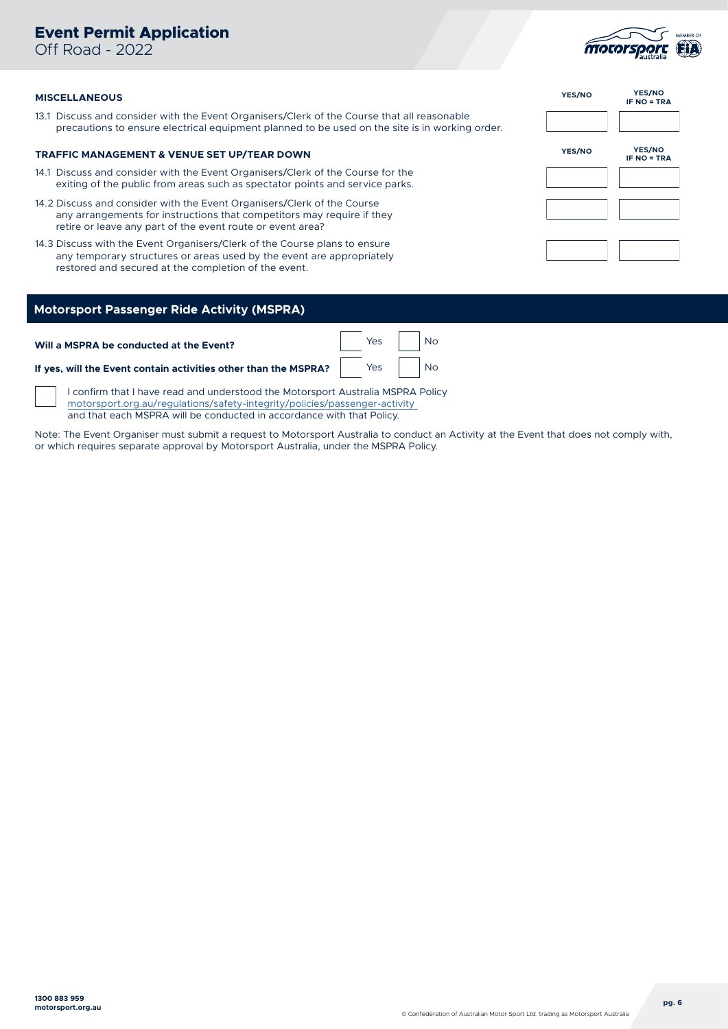### **Event Permit Application**

Off Road - 2022



#### **MISCELLANEOUS**

13.1 Discuss and consider with the Event Organisers/Clerk of the Course that all reasonable precautions to ensure electrical equipment planned to be used on the site is in working order.

#### **TRAFFIC MANAGEMENT & VENUE SET UP/TEAR DOWN**

- 14.1 Discuss and consider with the Event Organisers/Clerk of the Course for the exiting of the public from areas such as spectator points and service parks.
- 14.2 Discuss and consider with the Event Organisers/Clerk of the Course any arrangements for instructions that competitors may require if they retire or leave any part of the event route or event area?
- 14.3 Discuss with the Event Organisers/Clerk of the Course plans to ensure any temporary structures or areas used by the event are appropriately restored and secured at the completion of the event.

| YES/NO | <b>YES/NO</b><br><b>IF NO = TRA</b> |
|--------|-------------------------------------|
|        |                                     |
| YES/NO | YES/NO<br><b>IF NO = TRA</b>        |
|        |                                     |
|        |                                     |
|        |                                     |

### **Motorsport Passenger Ride Activity (MSPRA)**

| Will a MSPRA be conducted at the Event?                                                                                                                                            | Yes No |  |
|------------------------------------------------------------------------------------------------------------------------------------------------------------------------------------|--------|--|
| If yes, will the Event contain activities other than the MSPRA? $\begin{array}{ c c c }\hline & & \\\hline \end{array}$ $\begin{array}{ c c c }\hline & & \\\hline \end{array}$ No |        |  |

I confirm that I have read and understood the Motorsport Australia MSPRA Policy motorsport[.org.au/regulations/safety-integrity/policies/passenger-activity](https://www.cams.com.au/regulations/safety-integrity/policies/passenger-activity) and that each MSPRA will be conducted in accordance with that Policy.

Note: The Event Organiser must submit a request to Motorsport Australia to conduct an Activity at the Event that does not comply with, or which requires separate approval by Motorsport Australia, under the MSPRA Policy.